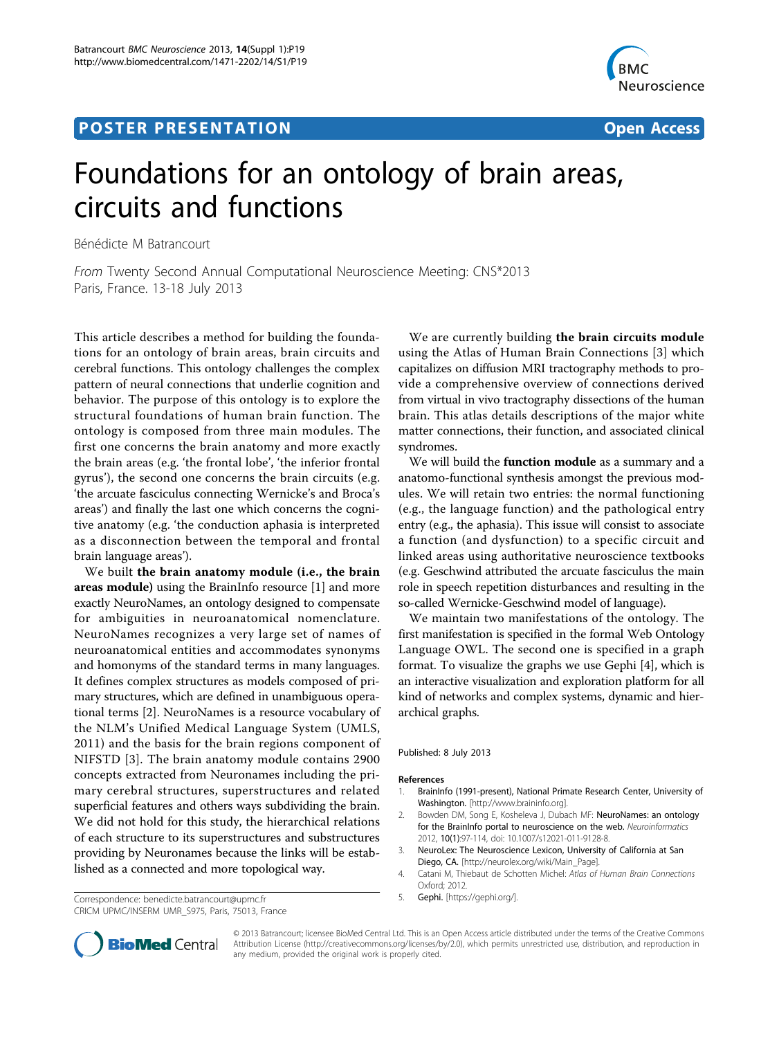## **POSTER PRESENTATION CONSUMING THE SERVICE SERVICE SERVICES**



## Foundations for an ontology of brain areas, circuits and functions

Bénédicte M Batrancourt

From Twenty Second Annual Computational Neuroscience Meeting: CNS\*2013 Paris, France. 13-18 July 2013

This article describes a method for building the foundations for an ontology of brain areas, brain circuits and cerebral functions. This ontology challenges the complex pattern of neural connections that underlie cognition and behavior. The purpose of this ontology is to explore the structural foundations of human brain function. The ontology is composed from three main modules. The first one concerns the brain anatomy and more exactly the brain areas (e.g. 'the frontal lobe', 'the inferior frontal gyrus'), the second one concerns the brain circuits (e.g. 'the arcuate fasciculus connecting Wernicke's and Broca's areas') and finally the last one which concerns the cognitive anatomy (e.g. 'the conduction aphasia is interpreted as a disconnection between the temporal and frontal brain language areas').

We built the brain anatomy module (i.e., the brain areas module) using the BrainInfo resource [1] and more exactly NeuroNames, an ontology designed to compensate for ambiguities in neuroanatomical nomenclature. NeuroNames recognizes a very large set of names of neuroanatomical entities and accommodates synonyms and homonyms of the standard terms in many languages. It defines complex structures as models composed of primary structures, which are defined in unambiguous operational terms [2]. NeuroNames is a resource vocabulary of the NLM's Unified Medical Language System (UMLS, 2011) and the basis for the brain regions component of NIFSTD [3]. The brain anatomy module contains 2900 concepts extracted from Neuronames including the primary cerebral structures, superstructures and related superficial features and others ways subdividing the brain. We did not hold for this study, the hierarchical relations of each structure to its superstructures and substructures providing by Neuronames because the links will be established as a connected and more topological way.

Correspondence: [benedicte.batrancourt@upmc.fr](mailto:benedicte.batrancourt@upmc.fr) 5. Gephi. [<https://gephi.org/>]. CRICM UPMC/INSERM UMR\_S975, Paris, 75013, France

We are currently building the brain circuits module using the Atlas of Human Brain Connections [3] which capitalizes on diffusion MRI tractography methods to provide a comprehensive overview of connections derived from virtual in vivo tractography dissections of the human brain. This atlas details descriptions of the major white matter connections, their function, and associated clinical syndromes.

We will build the **function module** as a summary and a anatomo-functional synthesis amongst the previous modules. We will retain two entries: the normal functioning (e.g., the language function) and the pathological entry entry (e.g., the aphasia). This issue will consist to associate a function (and dysfunction) to a specific circuit and linked areas using authoritative neuroscience textbooks (e.g. Geschwind attributed the arcuate fasciculus the main role in speech repetition disturbances and resulting in the so-called Wernicke-Geschwind model of language).

We maintain two manifestations of the ontology. The first manifestation is specified in the formal Web Ontology Language OWL. The second one is specified in a graph format. To visualize the graphs we use Gephi [4], which is an interactive visualization and exploration platform for all kind of networks and complex systems, dynamic and hierarchical graphs.

Published: 8 July 2013

## References

- 1. BrainInfo (1991-present), National Primate Research Center, University of Washington. [<http://www.braininfo.org>].
- 2. Bowden DM, Song E, Kosheleva J, Dubach MF: [NeuroNames: an ontology](http://www.ncbi.nlm.nih.gov/pubmed/21789500?dopt=Abstract) [for the BrainInfo portal to neuroscience on the web.](http://www.ncbi.nlm.nih.gov/pubmed/21789500?dopt=Abstract) Neuroinformatics 2012, 10(1):97-114, doi: 10.1007/s12021-011-9128-8.
- 3. NeuroLex: The Neuroscience Lexicon, University of California at San Diego, CA. [[http://neurolex.org/wiki/Main\\_Page\]](http://neurolex.org/wiki/Main_Page).
- 4. Catani M, Thiebaut de Schotten Michel: Atlas of Human Brain Connections Oxford; 2012.
- 



© 2013 Batrancourt; licensee BioMed Central Ltd. This is an Open Access article distributed under the terms of the Creative Commons Attribution License [\(http://creativecommons.org/licenses/by/2.0](http://creativecommons.org/licenses/by/2.0)), which permits unrestricted use, distribution, and reproduction in any medium, provided the original work is properly cited.